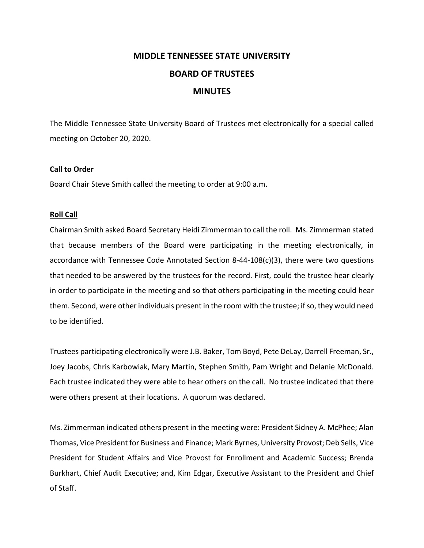## **MIDDLE TENNESSEE STATE UNIVERSITY BOARD OF TRUSTEES MINUTES**

The Middle Tennessee State University Board of Trustees met electronically for a special called meeting on October 20, 2020.

## **Call to Order**

Board Chair Steve Smith called the meeting to order at 9:00 a.m.

## **Roll Call**

Chairman Smith asked Board Secretary Heidi Zimmerman to call the roll. Ms. Zimmerman stated that because members of the Board were participating in the meeting electronically, in accordance with Tennessee Code Annotated Section 8‐44‐108(c)(3), there were two questions that needed to be answered by the trustees for the record. First, could the trustee hear clearly in order to participate in the meeting and so that others participating in the meeting could hear them. Second, were other individuals present in the room with the trustee; ifso, they would need to be identified.

Trustees participating electronically were J.B. Baker, Tom Boyd, Pete DeLay, Darrell Freeman, Sr., Joey Jacobs, Chris Karbowiak, Mary Martin, Stephen Smith, Pam Wright and Delanie McDonald. Each trustee indicated they were able to hear others on the call. No trustee indicated that there were others present at their locations. A quorum was declared.

Ms. Zimmerman indicated others present in the meeting were: President Sidney A. McPhee; Alan Thomas, Vice President for Business and Finance; Mark Byrnes, University Provost; Deb Sells, Vice President for Student Affairs and Vice Provost for Enrollment and Academic Success; Brenda Burkhart, Chief Audit Executive; and, Kim Edgar, Executive Assistant to the President and Chief of Staff.